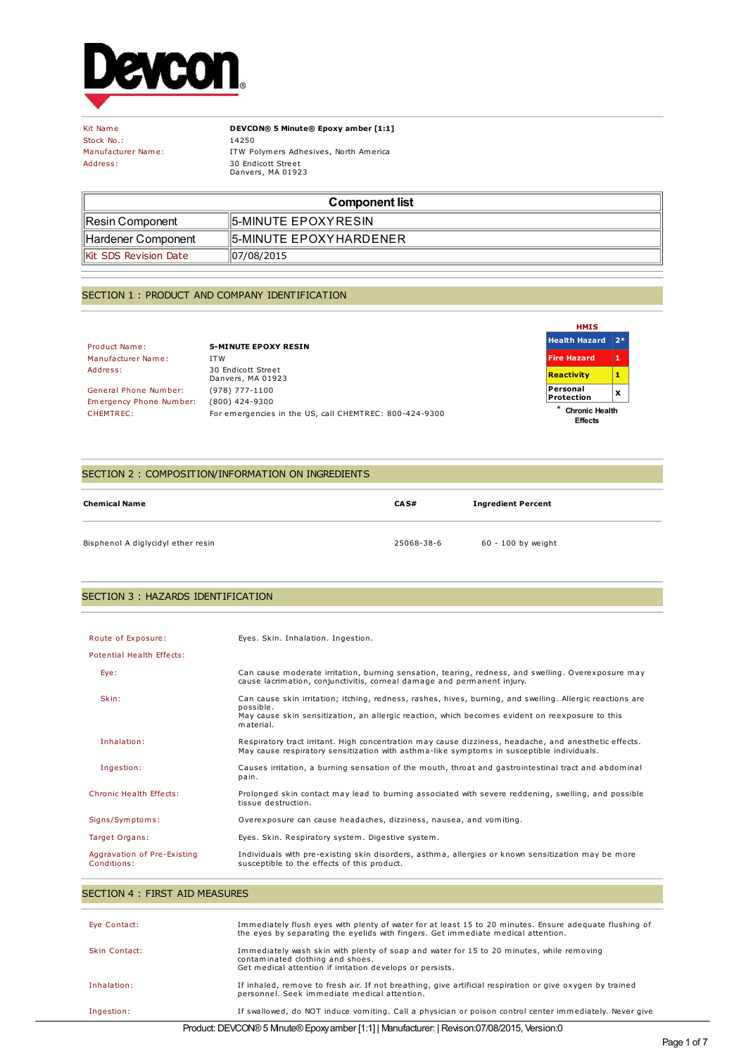

Stock No.: 14250<br>Manufacturer Name: 1TW Po

Kit Name **DEVCON® 5 Minute® Epoxy amber [1:1]** ITW Polymers Adhesives, North America Address: 30 Endicott Street Danvers, MA 01923

| <b>Component list</b>         |                         |
|-------------------------------|-------------------------|
| ∥Resin Component              | 15-MINUTE EPOXYRESIN    |
| ∥Hardener Component           | 15-MINUTE EPOXYHARDENER |
| <b>IKit SDS Revision Date</b> | 07/08/2015              |

## SECTION 1 : PRODUCT AND COMPANY IDENTIFICATION

Product Name: **5-MINUTE EPOXY RESIN** Manufacturer Name: ITW<br>Address: 30 E

30 Endicott Street Danvers, MA 01923 General Phone Number: (978) 777-1100 Emergency Phone Number: (800) 424-9300 CHEMTREC: For emergencies in the US, call CHEMTREC: 800-424-9300

| <b>HMIS</b>                           |    |
|---------------------------------------|----|
| <b>Health Hazard</b>                  | 7* |
| <b>Fire Hazard</b>                    | 1  |
| <b>Reactivity</b>                     | 1  |
| Personal<br>Protection                | x  |
| ×<br><b>Chronic Health</b><br>Effects |    |

## SECTION 2 : COMPOSITION/INFORMATION ON INGREDIENTS

| <b>Chemical Name</b>               | CA S#      | <b>Ingredient Percent</b> |
|------------------------------------|------------|---------------------------|
| Bisphenol A diglycidyl ether resin | 25068-38-6 | 60 - 100 by weight        |

### SECTION 3 : HAZARDS IDENTIFICATION

| Route of Exposure:                         | Eyes. Skin. Inhalation. Ingestion.                                                                                                                                                                                                     |
|--------------------------------------------|----------------------------------------------------------------------------------------------------------------------------------------------------------------------------------------------------------------------------------------|
| Potential Health Effects:                  |                                                                                                                                                                                                                                        |
| Eye:                                       | Can cause moderate irritation, burning sensation, tearing, redness, and swelling. Overexposure may<br>cause lacrimation, conjunctivitis, corneal damage and permanent injury.                                                          |
| Skin:                                      | Can cause skin irritation; itching, redness, rashes, hives, burning, and swelling. Allergic reactions are<br>possible.<br>May cause skin sensitization, an allergic reaction, which becomes evident on reexposure to this<br>material. |
| Inhalation:                                | Respiratory tract irritant. High concentration may cause dizziness, headache, and anesthetic effects.<br>May cause respiratory sensitization with asthma-like symptoms in susceptible individuals.                                     |
| Ingestion:                                 | Causes irritation, a burning sensation of the mouth, throat and gastrointestinal tract and abdominal<br>pain.                                                                                                                          |
| Chronic Health Effects:                    | Prolonged skin contact may lead to burning associated with severe reddening, swelling, and possible<br>tissue destruction.                                                                                                             |
| Signs/Symptoms:                            | Overexposure can cause headaches, dizziness, nausea, and vomiting.                                                                                                                                                                     |
| Target Organs:                             | Eyes. Skin. Respiratory system. Digestive system.                                                                                                                                                                                      |
| Aggravation of Pre-Existing<br>Conditions: | Individuals with pre-existing skin disorders, asthma, allergies or known sensitization may be more<br>susceptible to the effects of this product.                                                                                      |

| SECTION 4 : FIRST AID MEASURES                                                              |                                                                                                                                                                                             |  |
|---------------------------------------------------------------------------------------------|---------------------------------------------------------------------------------------------------------------------------------------------------------------------------------------------|--|
|                                                                                             |                                                                                                                                                                                             |  |
| Eye Contact:                                                                                | Immediately flush eyes with plenty of water for at least 15 to 20 minutes. Ensure adequate flushing of<br>the eyes by separating the eyelids with fingers. Get immediate medical attention. |  |
| Skin Contact:                                                                               | Immediately wash skin with plenty of soap and water for 15 to 20 minutes, while removing<br>contaminated clothing and shoes.<br>Get medical attention if irritation develops or persists.   |  |
| Inhalation:                                                                                 | If inhaled, remove to fresh air. If not breathing, give artificial respiration or give oxygen by trained<br>personnel. Seek immediate medical attention.                                    |  |
| Ingestion:                                                                                  | If swallowed, do NOT induce vomiting. Call a physician or poison control center immediately. Never give                                                                                     |  |
| Product: DEVCON® 5 Mnute® Epoxy amber [1:1]   Manufacturer:   Revison:07/08/2015, Version:0 |                                                                                                                                                                                             |  |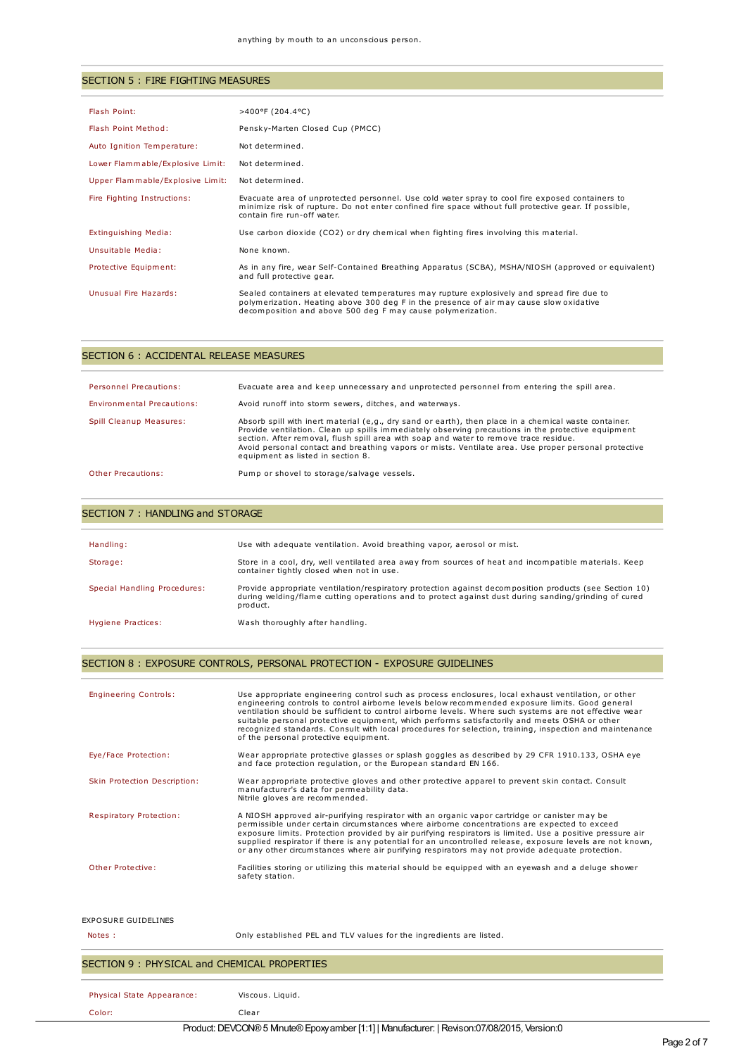## SECTION 5 : FIRE FIGHTING MEASURES

| Flash Point:                     | $>400^{\circ}$ F (204.4 °C)                                                                                                                                                                                                                         |
|----------------------------------|-----------------------------------------------------------------------------------------------------------------------------------------------------------------------------------------------------------------------------------------------------|
| Flash Point Method:              | Pensky-Marten Closed Cup (PMCC)                                                                                                                                                                                                                     |
| Auto Ignition Temperature:       | Not determined.                                                                                                                                                                                                                                     |
| Lower Flammable/Explosive Limit: | Not determined.                                                                                                                                                                                                                                     |
| Upper Flammable/Explosive Limit: | Not determined.                                                                                                                                                                                                                                     |
| Fire Fighting Instructions:      | Evacuate area of unprotected personnel. Use cold water spray to cool fire exposed containers to<br>minimize risk of rupture. Do not enter confined fire space without full protective gear. If possible,<br>contain fire run-off water.             |
| Extinguishing Media:             | Use carbon dioxide (CO2) or dry chemical when fighting fires involving this material.                                                                                                                                                               |
| Unsuitable Media:                | None known.                                                                                                                                                                                                                                         |
| Protective Equipment:            | As in any fire, wear Self-Contained Breathing Apparatus (SCBA), MSHA/NIOSH (approved or equivalent)<br>and full protective gear.                                                                                                                    |
| Unusual Fire Hazards:            | Sealed containers at elevated temperatures may rupture explosively and spread fire due to<br>polymerization. Heating above 300 deg F in the presence of air may cause slow oxidative<br>decomposition and above 500 deg F may cause polymerization. |

| SECTION 6 : ACCIDENTAL RELEASE MEASURES |                                                                                                                                                                                                                                                                                                                                                                                                                                                   |  |
|-----------------------------------------|---------------------------------------------------------------------------------------------------------------------------------------------------------------------------------------------------------------------------------------------------------------------------------------------------------------------------------------------------------------------------------------------------------------------------------------------------|--|
| Personnel Precautions:                  | Evacuate area and keep unnecessary and unprotected personnel from entering the spill area.                                                                                                                                                                                                                                                                                                                                                        |  |
| Environmental Precautions:              | Avoid runoff into storm sewers, ditches, and waterways.                                                                                                                                                                                                                                                                                                                                                                                           |  |
| Spill Cleanup Measures:                 | Absorb spill with inert material (e,g., dry sand or earth), then place in a chemical waste container.<br>Provide ventilation. Clean up spills immediately observing precautions in the protective equipment<br>section. After removal, flush spill area with soap and water to remove trace residue.<br>Avoid personal contact and breathing vapors or mists. Ventilate area. Use proper personal protective<br>equipment as listed in section 8. |  |
| Other Precautions:                      | Pump or shovel to storage/salvage vessels.                                                                                                                                                                                                                                                                                                                                                                                                        |  |

## SECTION 7 : HANDLING and STORAGE

| Handling:                    | Use with adequate ventilation. Avoid breathing vapor, aerosol or mist.                                                                                                                                                     |
|------------------------------|----------------------------------------------------------------------------------------------------------------------------------------------------------------------------------------------------------------------------|
| Storage:                     | Store in a cool, dry, well ventilated area away from sources of heat and incompatible materials. Keep<br>container tightly closed when not in use.                                                                         |
| Special Handling Procedures: | Provide appropriate ventilation/respiratory protection against decomposition products (see Section 10)<br>during welding/flame cutting operations and to protect against dust during sanding/grinding of cured<br>product. |
| Hygiene Practices:           | Wash thoroughly after handling.                                                                                                                                                                                            |

## SECTION 8 : EXPOSURE CONTROLS, PERSONAL PROTECTION - EXPOSURE GUIDELINES

| <b>Engineering Controls:</b> | Use appropriate engineering control such as process enclosures, local exhaust ventilation, or other<br>engineering controls to control airborne levels below recommended exposure limits. Good general<br>ventilation should be sufficient to control airborne levels. Where such systems are not effective wear<br>suitable personal protective equipment, which performs satisfactorily and meets OSHA or other<br>recognized standards. Consult with local procedures for selection, training, inspection and maintenance<br>of the personal protective equipment. |
|------------------------------|-----------------------------------------------------------------------------------------------------------------------------------------------------------------------------------------------------------------------------------------------------------------------------------------------------------------------------------------------------------------------------------------------------------------------------------------------------------------------------------------------------------------------------------------------------------------------|
| Eye/Face Protection:         | Wear appropriate protective glasses or splash goggles as described by 29 CFR 1910.133, OSHA eye<br>and face protection regulation, or the European standard EN 166.                                                                                                                                                                                                                                                                                                                                                                                                   |
| Skin Protection Description: | Wear appropriate protective gloves and other protective apparel to prevent skin contact. Consult<br>manufacturer's data for permeability data.<br>Nitrile gloves are recommended.                                                                                                                                                                                                                                                                                                                                                                                     |
| Respiratory Protection:      | A NIOSH approved air-purifying respirator with an organic vapor cartridge or canister may be<br>permissible under certain circumstances where airborne concentrations are expected to exceed<br>exposure limits. Protection provided by air purifying respirators is limited. Use a positive pressure air<br>supplied respirator if there is any potential for an uncontrolled release, exposure levels are not known,<br>or any other circumstances where air purifying respirators may not provide adequate protection.                                             |
| Other Protective:            | Facilities storing or utilizing this material should be equipped with an eyewash and a deluge shower<br>safety station.                                                                                                                                                                                                                                                                                                                                                                                                                                               |
| <b>EXPOSURE GUIDELINES</b>   |                                                                                                                                                                                                                                                                                                                                                                                                                                                                                                                                                                       |
| Notes :                      | Only established PEL and TLV values for the ingredients are listed.                                                                                                                                                                                                                                                                                                                                                                                                                                                                                                   |

## SECTION 9 : PHYSICAL and CHEMICAL PROPERTIES

| Physical State Appearance:                                                                  | Viscous, Liauid. |
|---------------------------------------------------------------------------------------------|------------------|
| Color:                                                                                      | Clear            |
| Product: DEVCON® 5 Mnute® Epoxy amber [1:1]   Manufacturer:   Revison:07/08/2015, Version:0 |                  |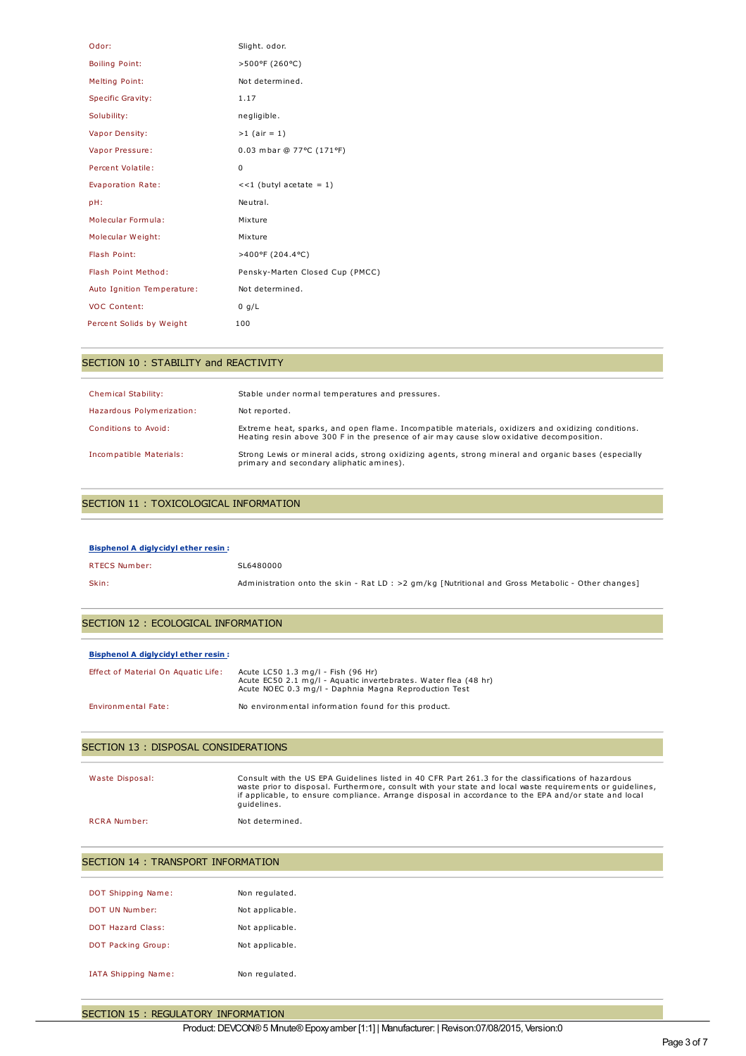| Odor:                      | Slight. odor.                   |
|----------------------------|---------------------------------|
| <b>Boiling Point:</b>      | >500°F (260°C)                  |
| <b>Melting Point:</b>      | Not determined.                 |
| Specific Gravity:          | 1.17                            |
| Solubility:                | negligible.                     |
| Vapor Density:             | $>1$ (air = 1)                  |
| Vapor Pressure:            | 0.03 mbar @ 77°C (171°F)        |
| Percent Volatile:          | $\Omega$                        |
| Evaporation Rate:          | $<<1$ (butyl acetate = 1)       |
| pH:                        | Neutral.                        |
| Molecular Formula:         | Mixture                         |
| Molecular Weight:          | Mixture                         |
| Flash Point:               | >400°F (204.4°C)                |
| Flash Point Method:        | Pensky-Marten Closed Cup (PMCC) |
| Auto Ignition Temperature: | Not determined.                 |
| <b>VOC Content:</b>        | 0 q/L                           |
| Percent Solids by Weight   | 100                             |

### SECTION 10 : STABILITY and REACTIVITY

| <b>Chemical Stability:</b> | Stable under normal temperatures and pressures.                                                                                                                                               |
|----------------------------|-----------------------------------------------------------------------------------------------------------------------------------------------------------------------------------------------|
| Hazardous Polymerization:  | Not reported.                                                                                                                                                                                 |
| Conditions to Avoid:       | Extreme heat, sparks, and open flame. Incompatible materials, oxidizers and oxidizing conditions.<br>Heating resin above 300 F in the presence of air may cause slow oxidative decomposition. |
| Incompatible Materials:    | Strong Lewis or mineral acids, strong oxidizing agents, strong mineral and organic bases (especially<br>primary and secondary aliphatic amines).                                              |

### SECTION 11 : TOXICOLOGICAL INFORMATION

| <b>Bisphenol A diglycidyl ether resin:</b> |                                                                                                    |
|--------------------------------------------|----------------------------------------------------------------------------------------------------|
| RTECS Number:                              | SL6480000                                                                                          |
| Skin:                                      | Administration onto the skin - Rat LD : >2 gm/kg [Nutritional and Gross Metabolic - Other changes] |

### SECTION 12 : ECOLOGICAL INFORMATION

| <b>Bisphenol A diglycidyl ether resin:</b> |                                                                                                                                                                |
|--------------------------------------------|----------------------------------------------------------------------------------------------------------------------------------------------------------------|
| Effect of Material On Aquatic Life:        | Acute LC50 1.3 mg/l - Fish (96 Hr)<br>Acute EC50 2.1 mg/l - Aquatic invertebrates. Water flea (48 hr)<br>Acute NOEC 0.3 mg/l - Daphnia Magna Reproduction Test |
| Environmental Fate:                        | No environmental information found for this product.                                                                                                           |

## SECTION 13 : DISPOSAL CONSIDERATIONS

Waste Disposal: Consult with the US EPA Guidelines listed in 40 CFR Part 261.3 for the classifications of hazardous waste prior to disposal. Furthermore, consult with your state and local waste requirements or guidelines, if applicable, to ensure compliance. Arrange disposal in accordance to the EPA and/or state and local guidelines.

RCRA Number: Not determined.

| SECTION 14 : TRANSPORT INFORMATION |                 |
|------------------------------------|-----------------|
|                                    |                 |
| <b>DOT Shipping Name:</b>          | Non regulated.  |
| DOT UN Number:                     | Not applicable. |
| <b>DOT Hazard Class:</b>           | Not applicable. |
| <b>DOT Packing Group:</b>          | Not applicable. |
|                                    |                 |
| IATA Shipping Name:                | Non regulated.  |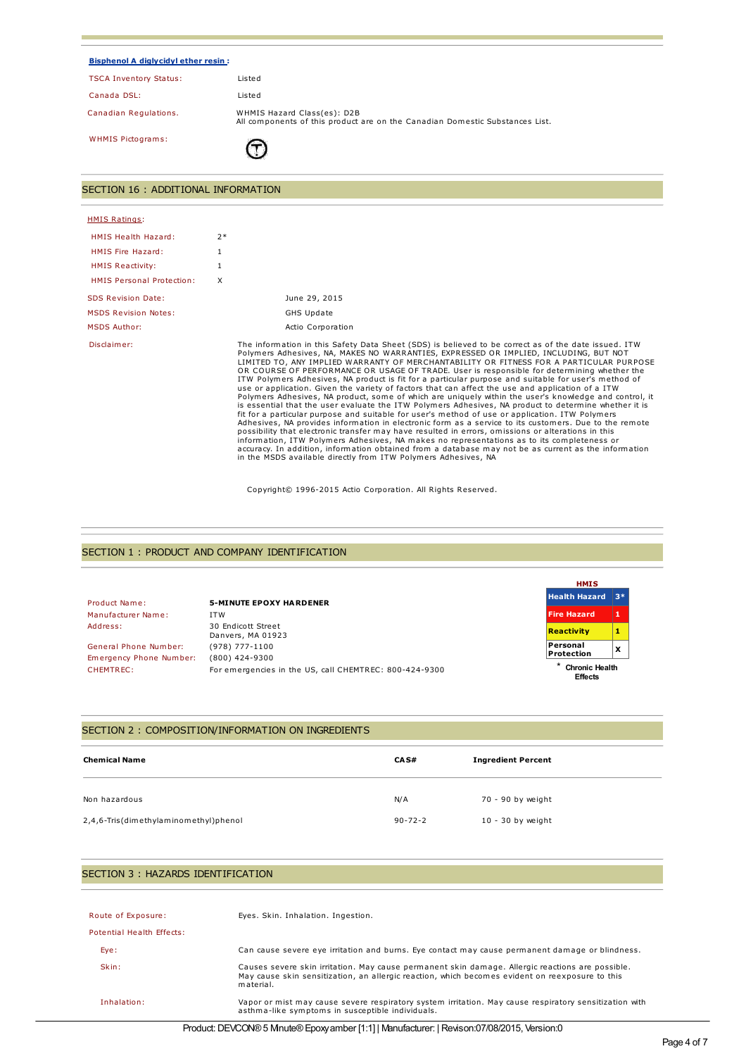| <b>Bisphenol A diglycidyl ether resin:</b> |                                                                                                             |
|--------------------------------------------|-------------------------------------------------------------------------------------------------------------|
| <b>TSCA Inventory Status:</b>              | Listed                                                                                                      |
| Canada DSL:                                | Listed                                                                                                      |
| Canadian Regulations.                      | WHMIS Hazard Class(es): D2B<br>All components of this product are on the Canadian Domestic Substances List. |
| <b>WHMIS Pictograms:</b>                   |                                                                                                             |
| SECTION 16 : ADDITIONAL INFORMATION        |                                                                                                             |
| <b>HMIS Ratings:</b>                       |                                                                                                             |
| <b>HMIS Health Hazard:</b>                 | $2*$                                                                                                        |
| HMIS Fire Hazard:                          | 1                                                                                                           |
| <b>HMIS Reactivity:</b>                    |                                                                                                             |

| <b>HMIS Personal Protection:</b> | x                                                                                                                                                                                                                                                                                                                                                                                                                                                                                                                                                                                                                                                                                                                                                                                                                                                                                                                                                                                                                                                                                                                                                                                                                                                                                                                                                                                                                  |
|----------------------------------|--------------------------------------------------------------------------------------------------------------------------------------------------------------------------------------------------------------------------------------------------------------------------------------------------------------------------------------------------------------------------------------------------------------------------------------------------------------------------------------------------------------------------------------------------------------------------------------------------------------------------------------------------------------------------------------------------------------------------------------------------------------------------------------------------------------------------------------------------------------------------------------------------------------------------------------------------------------------------------------------------------------------------------------------------------------------------------------------------------------------------------------------------------------------------------------------------------------------------------------------------------------------------------------------------------------------------------------------------------------------------------------------------------------------|
| <b>SDS Revision Date:</b>        | June 29, 2015                                                                                                                                                                                                                                                                                                                                                                                                                                                                                                                                                                                                                                                                                                                                                                                                                                                                                                                                                                                                                                                                                                                                                                                                                                                                                                                                                                                                      |
| <b>MSDS Revision Notes:</b>      | <b>GHS Update</b>                                                                                                                                                                                                                                                                                                                                                                                                                                                                                                                                                                                                                                                                                                                                                                                                                                                                                                                                                                                                                                                                                                                                                                                                                                                                                                                                                                                                  |
| <b>MSDS Author:</b>              | Actio Corporation                                                                                                                                                                                                                                                                                                                                                                                                                                                                                                                                                                                                                                                                                                                                                                                                                                                                                                                                                                                                                                                                                                                                                                                                                                                                                                                                                                                                  |
| Disclaimer:                      | The information in this Safety Data Sheet (SDS) is believed to be correct as of the date issued. ITW<br>Polymers Adhesives, NA, MAKES NO WARRANTIES, EXPRESSED OR IMPLIED, INCLUDING, BUT NOT<br>LIMITED TO, ANY IMPLIED WARRANTY OF MERCHANTABILITY OR FITNESS FOR A PARTICULAR PURPOSE<br>OR COURSE OF PERFORMANCE OR USAGE OF TRADE. User is responsible for determining whether the<br>ITW Polymers Adhesives, NA product is fit for a particular purpose and suitable for user's method of<br>use or application. Given the variety of factors that can affect the use and application of a ITW<br>Polymers Adhesives, NA product, some of which are uniquely within the user's knowledge and control, it<br>is essential that the user evaluate the ITW Polymers Adhesives, NA product to determine whether it is<br>fit for a particular purpose and suitable for user's method of use or application. ITW Polymers<br>Adhesives, NA provides information in electronic form as a service to its customers. Due to the remote<br>possibility that electronic transfer may have resulted in errors, omissions or alterations in this<br>information, ITW Polymers Adhesives, NA makes no representations as to its completeness or<br>accuracy. In addition, information obtained from a database may not be as current as the information<br>in the MSDS available directly from ITW Polymers Adhesives, NA |

Copyright© 1996-2015 Actio Corporation. All Rights Reserved.

### SECTION 1 : PRODUCT AND COMPANY IDENTIFICATION

|                         |                                                        | <b>HMIS</b>                             |   |
|-------------------------|--------------------------------------------------------|-----------------------------------------|---|
| Product Name:           | <b>5-MINUTE EPOXY HARDENER</b>                         | <b>Health Hazard</b> 3*                 |   |
| Manufacturer Name:      | <b>ITW</b>                                             | <b>Fire Hazard</b>                      |   |
| Address:                | 30 Endicott Street<br>Danvers, MA 01923                | <b>Reactivity</b>                       |   |
| General Phone Number:   | (978) 777-1100                                         | Personal<br>Protection                  | x |
| Emergency Phone Number: | $(800)$ 424-9300                                       |                                         |   |
| CHEMTREC:               | For emergencies in the US, call CHEMTREC: 800-424-9300 | <b>Chronic Health</b><br><b>Effects</b> |   |

## SECTION 2 : COMPOSITION/INFORMATION ON INGREDIENTS

| <b>Chemical Name</b>                  | CA S#         | <b>Ingredient Percent</b> |
|---------------------------------------|---------------|---------------------------|
| Non hazardous                         | N/A           | 70 - 90 by weight         |
| 2,4,6-Tris(dimethylaminomethyl)phenol | $90 - 72 - 2$ | $10 - 30$ by weight       |

## SECTION 3 : HAZARDS IDENTIFICATION

| Route of Exposure:        | Eyes. Skin. Inhalation. Ingestion.                                                                                                                                                                               |
|---------------------------|------------------------------------------------------------------------------------------------------------------------------------------------------------------------------------------------------------------|
| Potential Health Effects: |                                                                                                                                                                                                                  |
| Eye:                      | Can cause severe eye irritation and burns. Eye contact may cause permanent damage or blindness.                                                                                                                  |
| Skin:                     | Causes severe skin irritation. May cause permanent skin damage. Allergic reactions are possible.<br>May cause skin sensitization, an allergic reaction, which becomes evident on reexposure to this<br>material. |
| Inhalation:               | Vapor or mist may cause severe respiratory system irritation. May cause respiratory sensitization with<br>asthma-like symptoms in susceptible individuals.                                                       |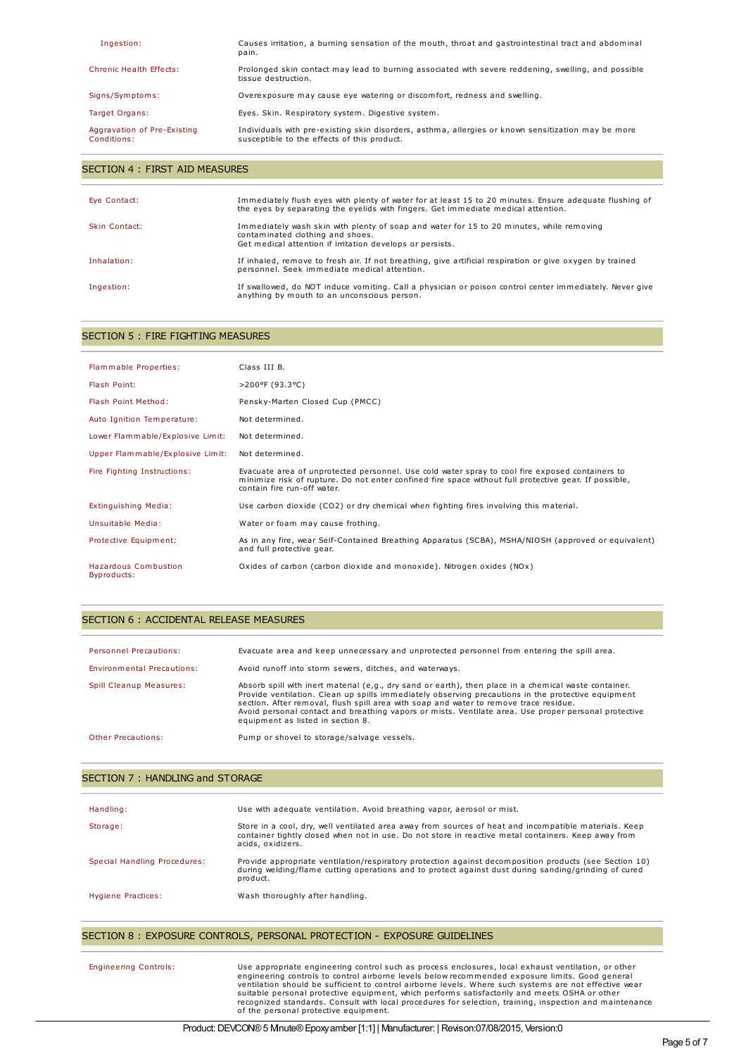| Ingestion:                                 | Causes irritation, a burning sensation of the mouth, throat and gastrointestinal tract and abdominal<br>pain.                                     |
|--------------------------------------------|---------------------------------------------------------------------------------------------------------------------------------------------------|
| Chronic Health Effects:                    | Prolonged skin contact may lead to burning associated with severe reddening, swelling, and possible<br>tissue destruction.                        |
| Signs/Symptoms:                            | Overexposure may cause eye watering or discomfort, redness and swelling.                                                                          |
| Target Organs:                             | Eyes. Skin. Respiratory system. Digestive system.                                                                                                 |
| Aggravation of Pre-Existing<br>Conditions: | Individuals with pre-existing skin disorders, asthma, allergies or known sensitization may be more<br>susceptible to the effects of this product. |

## SECTION 4 : FIRST AID MEASURES

| Eye Contact:  | Immediately flush eyes with plenty of water for at least 15 to 20 minutes. Ensure adequate flushing of<br>the eyes by separating the eyelids with fingers. Get immediate medical attention. |
|---------------|---------------------------------------------------------------------------------------------------------------------------------------------------------------------------------------------|
| Skin Contact: | Immediately wash skin with plenty of soap and water for 15 to 20 minutes, while removing<br>contaminated clothing and shoes.<br>Get medical attention if irritation develops or persists.   |
| Inhalation:   | If inhaled, remove to fresh air. If not breathing, give artificial respiration or give oxygen by trained<br>personnel. Seek immediate medical attention.                                    |
| Ingestion:    | If swallowed, do NOT induce vomiting. Call a physician or poison control center immediately. Never give<br>anything by mouth to an unconscious person.                                      |

## SECTION 5 : FIRE FIGHTING MEASURES

| Flammable Properties:               | Class III B.                                                                                                                                                                                                                            |
|-------------------------------------|-----------------------------------------------------------------------------------------------------------------------------------------------------------------------------------------------------------------------------------------|
| Flash Point:                        | >200°F (93.3°C)                                                                                                                                                                                                                         |
| Flash Point Method:                 | Pensky-Marten Closed Cup (PMCC)                                                                                                                                                                                                         |
| Auto Ignition Temperature:          | Not determined.                                                                                                                                                                                                                         |
| Lower Flammable/Explosive Limit:    | Not determined.                                                                                                                                                                                                                         |
| Upper Flammable/Explosive Limit:    | Not determined.                                                                                                                                                                                                                         |
| Fire Fighting Instructions:         | Evacuate area of unprotected personnel. Use cold water spray to cool fire exposed containers to<br>minimize risk of rupture. Do not enter confined fire space without full protective gear. If possible,<br>contain fire run-off water. |
| Extinguishing Media:                | Use carbon dioxide (CO2) or dry chemical when fighting fires involving this material.                                                                                                                                                   |
| Unsuitable Media:                   | Water or foam may cause frothing.                                                                                                                                                                                                       |
| Protective Equipment:               | As in any fire, wear Self-Contained Breathing Apparatus (SCBA), MSHA/NIOSH (approved or equivalent)<br>and full protective gear.                                                                                                        |
| Hazardous Combustion<br>Byproducts: | Oxides of carbon (carbon dioxide and monoxide). Nitrogen oxides $(NOx)$                                                                                                                                                                 |

## SECTION 6 : ACCIDENTAL RELEASE MEASURES

| Personnel Precautions:     | Evacuate area and keep unnecessary and unprotected personnel from entering the spill area.                                                                                                                                                                                                                                                                                                                                                        |
|----------------------------|---------------------------------------------------------------------------------------------------------------------------------------------------------------------------------------------------------------------------------------------------------------------------------------------------------------------------------------------------------------------------------------------------------------------------------------------------|
| Environmental Precautions: | Avoid runoff into storm sewers, ditches, and waterways.                                                                                                                                                                                                                                                                                                                                                                                           |
| Spill Cleanup Measures:    | Absorb spill with inert material (e,g., dry sand or earth), then place in a chemical waste container.<br>Provide ventilation. Clean up spills immediately observing precautions in the protective equipment<br>section. After removal, flush spill area with soap and water to remove trace residue.<br>Avoid personal contact and breathing vapors or mists. Ventilate area. Use proper personal protective<br>equipment as listed in section 8. |
| Other Precautions:         | Pump or shovel to storage/salvage vessels.                                                                                                                                                                                                                                                                                                                                                                                                        |

### SECTION 7 : HANDLING and STORAGE

| Handling:                    | Use with adequate ventilation. Avoid breathing vapor, aerosol or mist.                                                                                                                                                            |
|------------------------------|-----------------------------------------------------------------------------------------------------------------------------------------------------------------------------------------------------------------------------------|
| Storage:                     | Store in a cool, dry, well ventilated area away from sources of heat and incompatible materials. Keep<br>container tightly closed when not in use. Do not store in reactive metal containers. Keep away from<br>acids, oxidizers. |
| Special Handling Procedures: | Provide appropriate ventilation/respiratory protection against decomposition products (see Section 10)<br>during welding/flame cutting operations and to protect against dust during sanding/grinding of cured<br>product.        |
| Hygiene Practices:           | Wash thoroughly after handling.                                                                                                                                                                                                   |

## SECTION 8 : EXPOSURE CONTROLS, PERSONAL PROTECTION - EXPOSURE GUIDELINES

| <b>Engineering Controls:</b> | Use appropriate engineering control such as process enclosures, local exhaust ventilation, or other<br>engineering controls to control airborne levels below recommended exposure limits. Good general<br>ventilation should be sufficient to control airborne levels. Where such systems are not effective wear<br>suitable personal protective equipment, which performs satisfactorily and meets OSHA or other<br>recognized standards. Consult with local procedures for selection, training, inspection and maintenance<br>of the personal protective equipment. |
|------------------------------|-----------------------------------------------------------------------------------------------------------------------------------------------------------------------------------------------------------------------------------------------------------------------------------------------------------------------------------------------------------------------------------------------------------------------------------------------------------------------------------------------------------------------------------------------------------------------|
|------------------------------|-----------------------------------------------------------------------------------------------------------------------------------------------------------------------------------------------------------------------------------------------------------------------------------------------------------------------------------------------------------------------------------------------------------------------------------------------------------------------------------------------------------------------------------------------------------------------|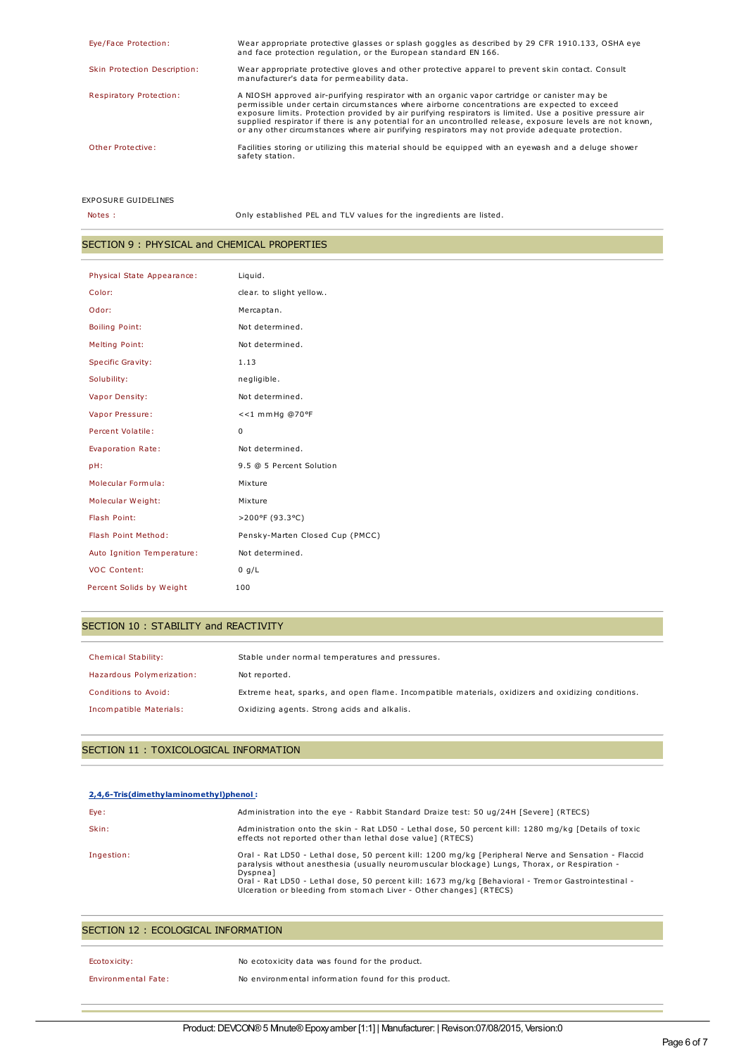| Wear appropriate protective glasses or splash goggles as described by 29 CFR 1910.133, OSHA eye                                                                                                                                                                                                                           |
|---------------------------------------------------------------------------------------------------------------------------------------------------------------------------------------------------------------------------------------------------------------------------------------------------------------------------|
| Wear appropriate protective gloves and other protective apparel to prevent skin contact. Consult                                                                                                                                                                                                                          |
| exposure limits. Protection provided by air purifying respirators is limited. Use a positive pressure air<br>supplied respirator if there is any potential for an uncontrolled release, exposure levels are not known,<br>or any other circumstances where air purifying respirators may not provide adequate protection. |
| Facilities storing or utilizing this material should be equipped with an eyewash and a deluge shower                                                                                                                                                                                                                      |
|                                                                                                                                                                                                                                                                                                                           |

EXPOSURE GUIDELINES

Notes : Only established PEL and TLV values for the ingredients are listed.

## SECTION 9 : PHYSICAL and CHEMICAL PROPERTIES

| Physical State Appearance: | Liquid.                         |
|----------------------------|---------------------------------|
| Color:                     | clear. to slight yellow         |
| Odor:                      | Mercaptan.                      |
| <b>Boiling Point:</b>      | Not determined.                 |
| <b>Melting Point:</b>      | Not determined.                 |
| <b>Specific Gravity:</b>   | 1.13                            |
| Solubility:                | negligible.                     |
| Vapor Density:             | Not determined.                 |
| Vapor Pressure:            | <<1 mmHg @70°F                  |
| Percent Volatile:          | 0                               |
| Evaporation Rate:          | Not determined.                 |
| pH:                        | 9.5 @ 5 Percent Solution        |
| Molecular Formula:         | Mixture                         |
| Molecular Weight:          | Mixture                         |
| Flash Point:               | >200°F (93.3°C)                 |
| Flash Point Method:        | Pensky-Marten Closed Cup (PMCC) |
| Auto Ignition Temperature: | Not determined.                 |
| <b>VOC Content:</b>        | 0 g/L                           |
| Percent Solids by Weight   | 100                             |

# SECTION 10 : STABILITY and REACTIVITY

| Chemical Stability:       | Stable under normal temperatures and pressures.                                                   |
|---------------------------|---------------------------------------------------------------------------------------------------|
| Hazardous Polymerization: | Not reported.                                                                                     |
| Conditions to Avoid:      | Extreme heat, sparks, and open flame. Incompatible materials, oxidizers and oxidizing conditions. |
| Incompatible Materials:   | Oxidizing agents. Strong acids and alkalis.                                                       |

## SECTION 11 : TOXICOLOGICAL INFORMATION

| 2.4.6-Tris(dimethylaminomethyl)phenol: |                                                                                                                                                                                                                                                                                                                                                                                               |
|----------------------------------------|-----------------------------------------------------------------------------------------------------------------------------------------------------------------------------------------------------------------------------------------------------------------------------------------------------------------------------------------------------------------------------------------------|
| Eye:                                   | Administration into the eye - Rabbit Standard Draize test: 50 ug/24H [Severe] (RTECS)                                                                                                                                                                                                                                                                                                         |
| Skin:                                  | Administration onto the skin - Rat LD50 - Lethal dose, 50 percent kill: 1280 mg/kg [Details of toxic<br>effects not reported other than lethal dose value] (RTECS)                                                                                                                                                                                                                            |
| Ingestion:                             | Oral - Rat LD50 - Lethal dose, 50 percent kill: 1200 mg/kg [Peripheral Nerve and Sensation - Flaccid<br>paralysis without anesthesia (usually neuromuscular blockage) Lungs, Thorax, or Respiration -<br>Dyspneal<br>Oral - Rat LD50 - Lethal dose, 50 percent kill: 1673 mg/kg [Behavioral - Tremor Gastrointestinal -<br>Ulceration or bleeding from stomach Liver - Other changes] (RTECS) |

| SECTION 12 : ECOLOGICAL INFORMATION |                                                |
|-------------------------------------|------------------------------------------------|
|                                     |                                                |
| Ecotoxicity:                        | No ecotoxicity data was found for the product. |

| <b>Environmental Fate:</b> | No environmental information found for this product. |
|----------------------------|------------------------------------------------------|
|                            |                                                      |